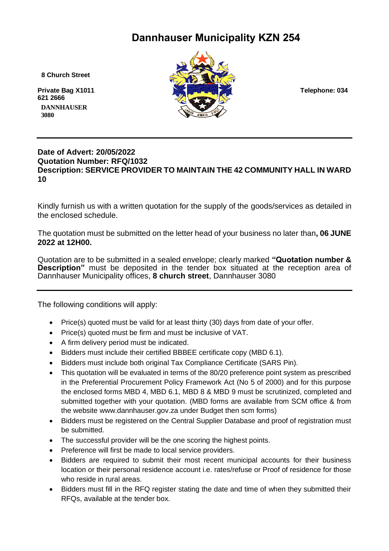# **Dannhauser Municipality KZN 254**

 **8 Church Street**

**621 2666 DANNHAUSER** 



# **Date of Advert: 20/05/2022 Quotation Number: RFQ/1032 Description: SERVICE PROVIDER TO MAINTAIN THE 42 COMMUNITY HALL IN WARD 10**

Kindly furnish us with a written quotation for the supply of the goods/services as detailed in the enclosed schedule.

The quotation must be submitted on the letter head of your business no later than**, 06 JUNE 2022 at 12H00.**

Quotation are to be submitted in a sealed envelope; clearly marked **"Quotation number & Description"** must be deposited in the tender box situated at the reception area of Dannhauser Municipality offices, **8 church street**, Dannhauser 3080

The following conditions will apply:

- Price(s) quoted must be valid for at least thirty (30) days from date of your offer.
- Price(s) quoted must be firm and must be inclusive of VAT.
- A firm delivery period must be indicated.
- Bidders must include their certified BBBEE certificate copy (MBD 6.1).
- Bidders must include both original Tax Compliance Certificate (SARS Pin).
- This quotation will be evaluated in terms of the 80/20 preference point system as prescribed in the Preferential Procurement Policy Framework Act (No 5 of 2000) and for this purpose the enclosed forms MBD 4, MBD 6.1, MBD 8 & MBD 9 must be scrutinized, completed and submitted together with your quotation. (MBD forms are available from SCM office & from the website www.dannhauser.gov.za under Budget then scm forms)
- Bidders must be registered on the Central Supplier Database and proof of registration must be submitted.
- The successful provider will be the one scoring the highest points.
- Preference will first be made to local service providers.
- Bidders are required to submit their most recent municipal accounts for their business location or their personal residence account i.e. rates/refuse or Proof of residence for those who reside in rural areas.
- Bidders must fill in the RFQ register stating the date and time of when they submitted their RFQs, available at the tender box.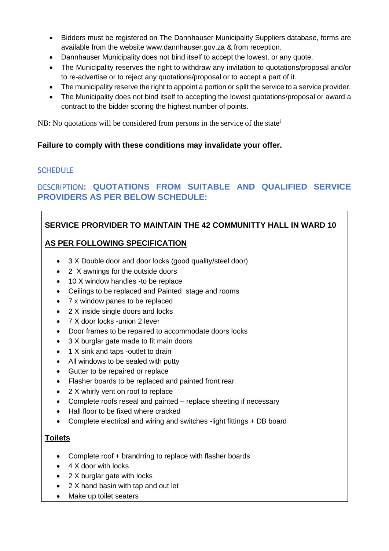- Bidders must be registered on The Dannhauser Municipality Suppliers database, forms are available from the website www.dannhauser.gov.za & from reception.
- Dannhauser Municipality does not bind itself to accept the lowest, or any quote.
- The Municipality reserves the right to withdraw any invitation to quotations/proposal and/or to re-advertise or to reject any quotations/proposal or to accept a part of it.
- The municipality reserve the right to appoint a portion or split the service to a service provider.
- The Municipality does not bind itself to accepting the lowest quotations/proposal or award a contract to the bidder scoring the highest number of points.

NB: No quotations will be considered from persons in the service of the state<sup>1</sup>

#### **Failure to comply with these conditions may invalidate your offer.**

# **SCHEDULE**

# DESCRIPTION**: QUOTATIONS FROM SUITABLE AND QUALIFIED SERVICE PROVIDERS AS PER BELOW SCHEDULE:**

# **SERVICE PRORVIDER TO MAINTAIN THE 42 COMMUNITTY HALL IN WARD 10**

# **AS PER FOLLOWING SPECIFICATION**

- 3 X Double door and door locks (good quality/steel door)
- 2 X awnings for the outside doors
- 10 X window handles -to be replace
- Ceilings to be replaced and Painted stage and rooms
- 7 x window panes to be replaced
- 2 X inside single doors and locks
- 7 X door locks -union 2 lever
- Door frames to be repaired to accommodate doors locks
- 3 X burglar gate made to fit main doors
- 1 X sink and taps -outlet to drain
- All windows to be sealed with putty
- Gutter to be repaired or replace
- Flasher boards to be replaced and painted front rear
- 2 X whirly vent on roof to replace
- Complete roofs reseal and painted replace sheeting if necessary
- Hall floor to be fixed where cracked
- Complete electrical and wiring and switches -light fittings + DB board

#### **Toilets**

- Complete roof + brandrring to replace with flasher boards
- 4 X door with locks
- 2 X burglar gate with locks
- 2 X hand basin with tap and out let
- Make up toilet seaters